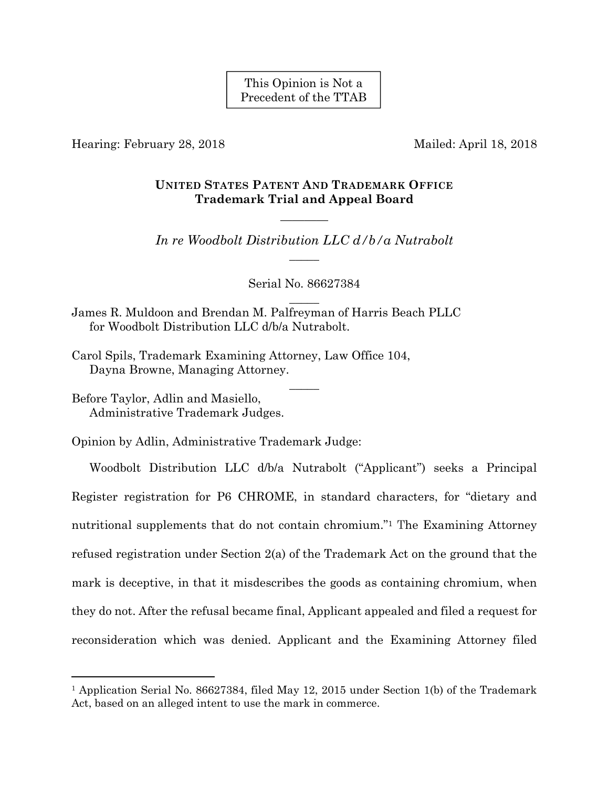This Opinion is Not a Precedent of the TTAB

Hearing: February 28, 2018 Mailed: April 18, 2018

# **UNITED STATES PATENT AND TRADEMARK OFFICE Trademark Trial and Appeal Board**

*In re Woodbolt Distribution LLC d/b/a Nutrabolt*   $\overline{\phantom{a}}$ 

————

Serial No. 86627384  $\overline{\phantom{a}}$ 

 $\overline{\phantom{a}}$ 

James R. Muldoon and Brendan M. Palfreyman of Harris Beach PLLC for Woodbolt Distribution LLC d/b/a Nutrabolt.

Carol Spils, Trademark Examining Attorney, Law Office 104, Dayna Browne, Managing Attorney.

Before Taylor, Adlin and Masiello, Administrative Trademark Judges.

1

Opinion by Adlin, Administrative Trademark Judge:

Woodbolt Distribution LLC d/b/a Nutrabolt ("Applicant") seeks a Principal Register registration for P6 CHROME, in standard characters, for "dietary and nutritional supplements that do not contain chromium."1 The Examining Attorney refused registration under Section 2(a) of the Trademark Act on the ground that the mark is deceptive, in that it misdescribes the goods as containing chromium, when they do not. After the refusal became final, Applicant appealed and filed a request for reconsideration which was denied. Applicant and the Examining Attorney filed

<sup>1</sup> Application Serial No. 86627384, filed May 12, 2015 under Section 1(b) of the Trademark Act, based on an alleged intent to use the mark in commerce.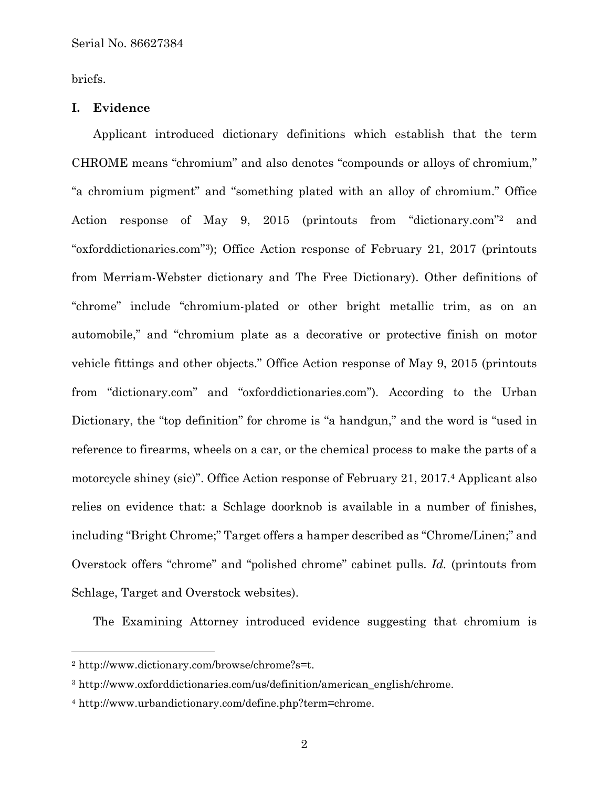briefs.

### **I. Evidence**

Applicant introduced dictionary definitions which establish that the term CHROME means "chromium" and also denotes "compounds or alloys of chromium," "a chromium pigment" and "something plated with an alloy of chromium." Office Action response of May 9, 2015 (printouts from "dictionary.com"2 and "oxforddictionaries.com"3); Office Action response of February 21, 2017 (printouts from Merriam-Webster dictionary and The Free Dictionary). Other definitions of "chrome" include "chromium-plated or other bright metallic trim, as on an automobile," and "chromium plate as a decorative or protective finish on motor vehicle fittings and other objects." Office Action response of May 9, 2015 (printouts from "dictionary.com" and "oxforddictionaries.com")*.* According to the Urban Dictionary, the "top definition" for chrome is "a handgun," and the word is "used in reference to firearms, wheels on a car, or the chemical process to make the parts of a motorcycle shiney (sic)". Office Action response of February 21, 2017.4 Applicant also relies on evidence that: a Schlage doorknob is available in a number of finishes, including "Bright Chrome;" Target offers a hamper described as "Chrome/Linen;" and Overstock offers "chrome" and "polished chrome" cabinet pulls. *Id.* (printouts from Schlage, Target and Overstock websites).

The Examining Attorney introduced evidence suggesting that chromium is

 $\overline{a}$ 

<sup>2</sup> http://www.dictionary.com/browse/chrome?s=t.

<sup>3</sup> http://www.oxforddictionaries.com/us/definition/american\_english/chrome.

<sup>4</sup> http://www.urbandictionary.com/define.php?term=chrome.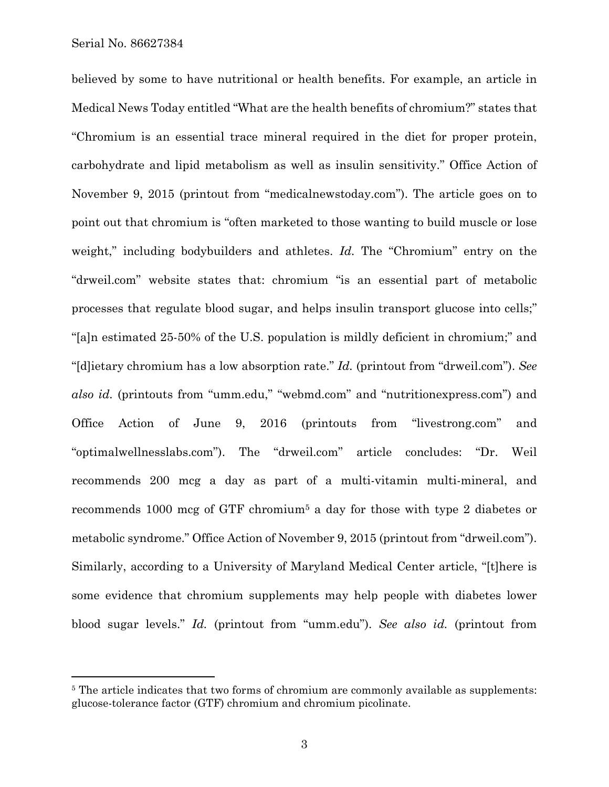Serial No. 86627384

 $\overline{a}$ 

believed by some to have nutritional or health benefits. For example, an article in Medical News Today entitled "What are the health benefits of chromium?" states that "Chromium is an essential trace mineral required in the diet for proper protein, carbohydrate and lipid metabolism as well as insulin sensitivity." Office Action of November 9, 2015 (printout from "medicalnewstoday.com"). The article goes on to point out that chromium is "often marketed to those wanting to build muscle or lose weight," including bodybuilders and athletes. *Id.* The "Chromium" entry on the "drweil.com" website states that: chromium "is an essential part of metabolic processes that regulate blood sugar, and helps insulin transport glucose into cells;" "[a]n estimated 25-50% of the U.S. population is mildly deficient in chromium;" and "[d]ietary chromium has a low absorption rate." *Id.* (printout from "drweil.com"). *See also id.* (printouts from "umm.edu," "webmd.com" and "nutritionexpress.com") and Office Action of June 9, 2016 (printouts from "livestrong.com" and "optimalwellnesslabs.com"). The "drweil.com" article concludes: "Dr. Weil recommends 200 mcg a day as part of a multi-vitamin multi-mineral, and recommends 1000 mcg of GTF chromium5 a day for those with type 2 diabetes or metabolic syndrome." Office Action of November 9, 2015 (printout from "drweil.com"). Similarly, according to a University of Maryland Medical Center article, "[t]here is some evidence that chromium supplements may help people with diabetes lower blood sugar levels." *Id.* (printout from "umm.edu"). *See also id.* (printout from

<sup>&</sup>lt;sup>5</sup> The article indicates that two forms of chromium are commonly available as supplements: glucose-tolerance factor (GTF) chromium and chromium picolinate.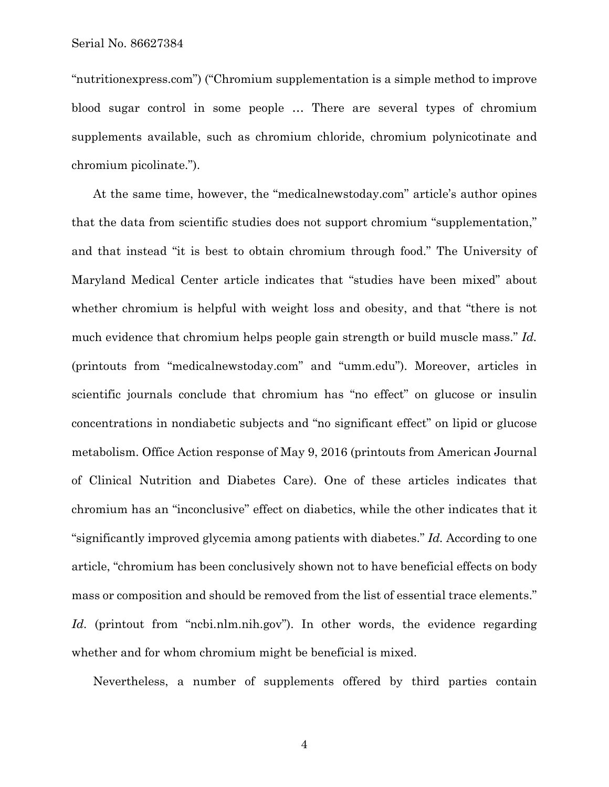"nutritionexpress.com") ("Chromium supplementation is a simple method to improve blood sugar control in some people … There are several types of chromium supplements available, such as chromium chloride, chromium polynicotinate and chromium picolinate.").

At the same time, however, the "medicalnewstoday.com" article's author opines that the data from scientific studies does not support chromium "supplementation," and that instead "it is best to obtain chromium through food." The University of Maryland Medical Center article indicates that "studies have been mixed" about whether chromium is helpful with weight loss and obesity, and that "there is not much evidence that chromium helps people gain strength or build muscle mass." *Id.*  (printouts from "medicalnewstoday.com" and "umm.edu"). Moreover, articles in scientific journals conclude that chromium has "no effect" on glucose or insulin concentrations in nondiabetic subjects and "no significant effect" on lipid or glucose metabolism. Office Action response of May 9, 2016 (printouts from American Journal of Clinical Nutrition and Diabetes Care). One of these articles indicates that chromium has an "inconclusive" effect on diabetics, while the other indicates that it "significantly improved glycemia among patients with diabetes." *Id.* According to one article, "chromium has been conclusively shown not to have beneficial effects on body mass or composition and should be removed from the list of essential trace elements." Id. (printout from "ncbi.nlm.nih.gov"). In other words, the evidence regarding whether and for whom chromium might be beneficial is mixed.

Nevertheless, a number of supplements offered by third parties contain

4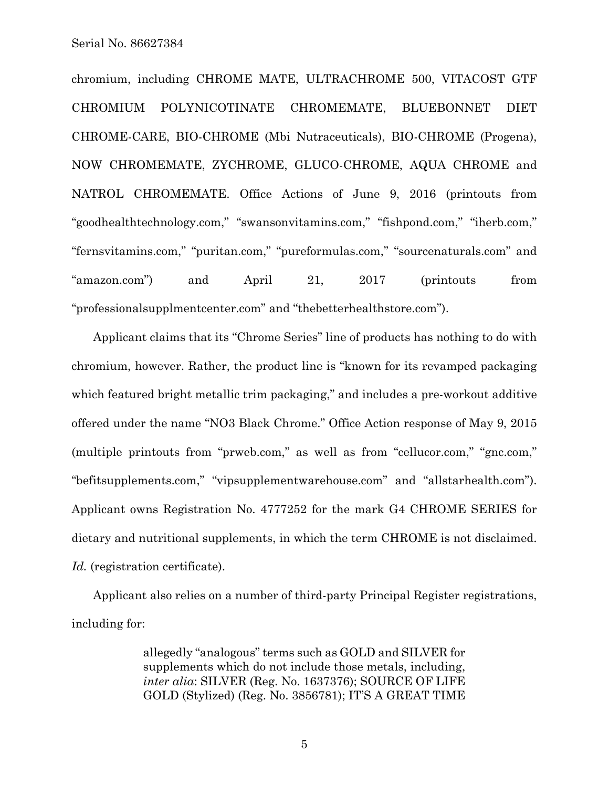chromium, including CHROME MATE, ULTRACHROME 500, VITACOST GTF CHROMIUM POLYNICOTINATE CHROMEMATE, BLUEBONNET DIET CHROME-CARE, BIO-CHROME (Mbi Nutraceuticals), BIO-CHROME (Progena), NOW CHROMEMATE, ZYCHROME, GLUCO-CHROME, AQUA CHROME and NATROL CHROMEMATE. Office Actions of June 9, 2016 (printouts from "goodhealthtechnology.com," "swansonvitamins.com," "fishpond.com," "iherb.com," "fernsvitamins.com," "puritan.com," "pureformulas.com," "sourcenaturals.com" and "amazon.com") and April 21, 2017 (printouts from "professionalsupplmentcenter.com" and "thebetterhealthstore.com").

Applicant claims that its "Chrome Series" line of products has nothing to do with chromium, however. Rather, the product line is "known for its revamped packaging which featured bright metallic trim packaging," and includes a pre-workout additive offered under the name "NO3 Black Chrome." Office Action response of May 9, 2015 (multiple printouts from "prweb.com," as well as from "cellucor.com," "gnc.com," "befitsupplements.com," "vipsupplementwarehouse.com" and "allstarhealth.com"). Applicant owns Registration No. 4777252 for the mark G4 CHROME SERIES for dietary and nutritional supplements, in which the term CHROME is not disclaimed. *Id.* (registration certificate).

Applicant also relies on a number of third-party Principal Register registrations, including for:

> allegedly "analogous" terms such as GOLD and SILVER for supplements which do not include those metals, including, *inter alia*: SILVER (Reg. No. 1637376); SOURCE OF LIFE GOLD (Stylized) (Reg. No. 3856781); IT'S A GREAT TIME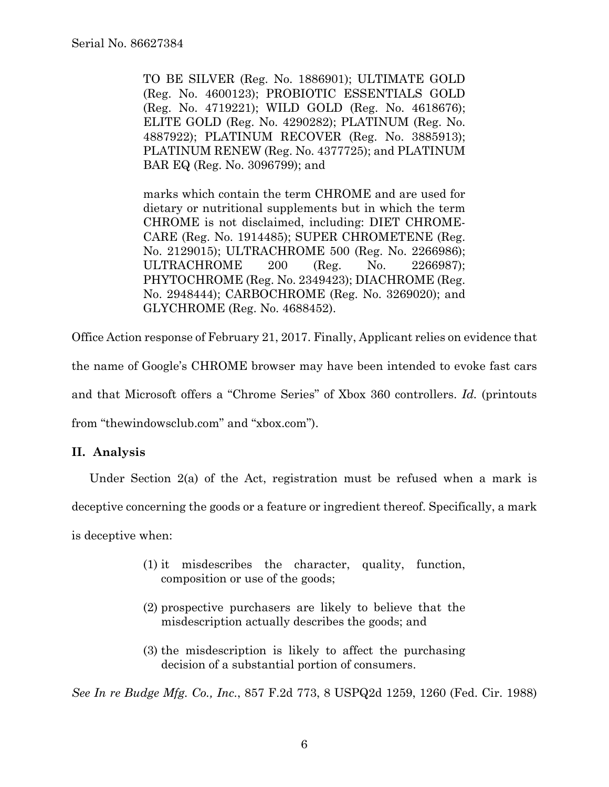TO BE SILVER (Reg. No. 1886901); ULTIMATE GOLD (Reg. No. 4600123); PROBIOTIC ESSENTIALS GOLD (Reg. No. 4719221); WILD GOLD (Reg. No. 4618676); ELITE GOLD (Reg. No. 4290282); PLATINUM (Reg. No. 4887922); PLATINUM RECOVER (Reg. No. 3885913); PLATINUM RENEW (Reg. No. 4377725); and PLATINUM BAR EQ (Reg. No. 3096799); and

marks which contain the term CHROME and are used for dietary or nutritional supplements but in which the term CHROME is not disclaimed, including: DIET CHROME-CARE (Reg. No. 1914485); SUPER CHROMETENE (Reg. No. 2129015); ULTRACHROME 500 (Reg. No. 2266986); ULTRACHROME 200 (Reg. No. 2266987); PHYTOCHROME (Reg. No. 2349423); DIACHROME (Reg. No. 2948444); CARBOCHROME (Reg. No. 3269020); and GLYCHROME (Reg. No. 4688452).

Office Action response of February 21, 2017. Finally, Applicant relies on evidence that the name of Google's CHROME browser may have been intended to evoke fast cars and that Microsoft offers a "Chrome Series" of Xbox 360 controllers. *Id.* (printouts from "thewindowsclub.com" and "xbox.com").

# **II. Analysis**

Under Section 2(a) of the Act, registration must be refused when a mark is

deceptive concerning the goods or a feature or ingredient thereof. Specifically, a mark

is deceptive when:

- (1) it misdescribes the character, quality, function, composition or use of the goods;
- (2) prospective purchasers are likely to believe that the misdescription actually describes the goods; and
- (3) the misdescription is likely to affect the purchasing decision of a substantial portion of consumers.

*See In re Budge Mfg. Co., Inc.*, 857 F.2d 773, 8 USPQ2d 1259, 1260 (Fed. Cir. 1988)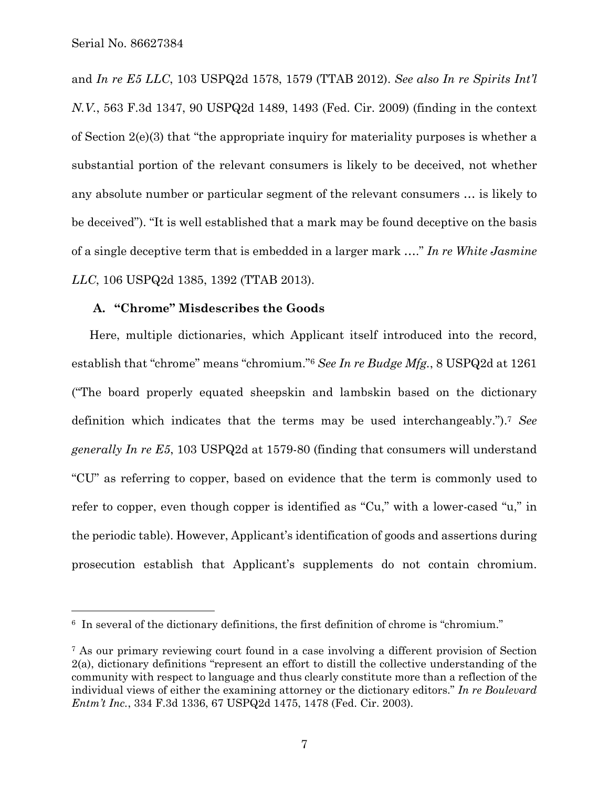1

and *In re E5 LLC*, 103 USPQ2d 1578, 1579 (TTAB 2012). *See also In re Spirits Int'l N.V.*, 563 F.3d 1347, 90 USPQ2d 1489, 1493 (Fed. Cir. 2009) (finding in the context of Section 2(e)(3) that "the appropriate inquiry for materiality purposes is whether a substantial portion of the relevant consumers is likely to be deceived, not whether any absolute number or particular segment of the relevant consumers … is likely to be deceived"). "It is well established that a mark may be found deceptive on the basis of a single deceptive term that is embedded in a larger mark …." *In re White Jasmine LLC*, 106 USPQ2d 1385, 1392 (TTAB 2013).

# **A. "Chrome" Misdescribes the Goods**

Here, multiple dictionaries, which Applicant itself introduced into the record, establish that "chrome" means "chromium."6 *See In re Budge Mfg.*, 8 USPQ2d at 1261 ("The board properly equated sheepskin and lambskin based on the dictionary definition which indicates that the terms may be used interchangeably.").7 *See generally In re E5*, 103 USPQ2d at 1579-80 (finding that consumers will understand "CU" as referring to copper, based on evidence that the term is commonly used to refer to copper, even though copper is identified as "Cu," with a lower-cased "u," in the periodic table). However, Applicant's identification of goods and assertions during prosecution establish that Applicant's supplements do not contain chromium.

<sup>6</sup> In several of the dictionary definitions, the first definition of chrome is "chromium."

<sup>7</sup> As our primary reviewing court found in a case involving a different provision of Section 2(a), dictionary definitions "represent an effort to distill the collective understanding of the community with respect to language and thus clearly constitute more than a reflection of the individual views of either the examining attorney or the dictionary editors." *In re Boulevard Entm't Inc.*, 334 F.3d 1336, 67 USPQ2d 1475, 1478 (Fed. Cir. 2003).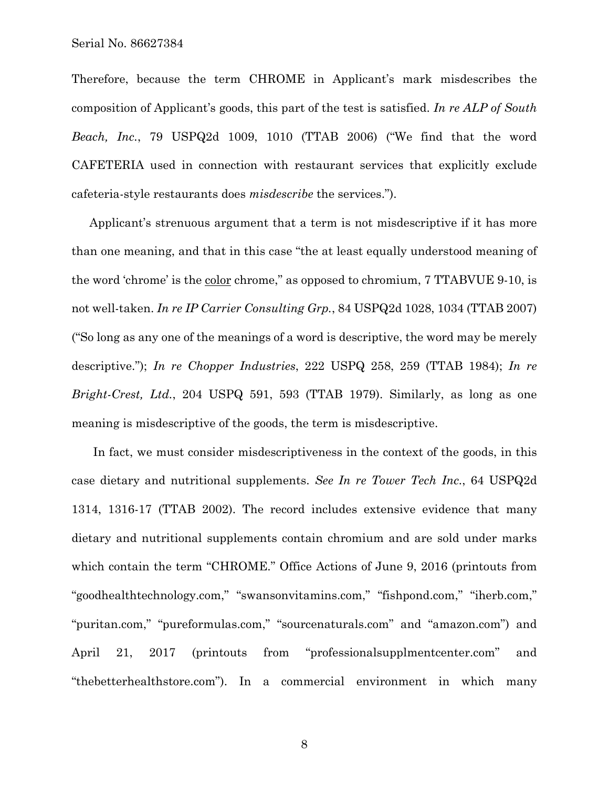Therefore, because the term CHROME in Applicant's mark misdescribes the composition of Applicant's goods, this part of the test is satisfied. *In re ALP of South Beach, Inc.*, 79 USPQ2d 1009, 1010 (TTAB 2006) ("We find that the word CAFETERIA used in connection with restaurant services that explicitly exclude cafeteria-style restaurants does *misdescribe* the services.").

Applicant's strenuous argument that a term is not misdescriptive if it has more than one meaning, and that in this case "the at least equally understood meaning of the word 'chrome' is the color chrome," as opposed to chromium, 7 TTABVUE 9-10, is not well-taken. *In re IP Carrier Consulting Grp.*, 84 USPQ2d 1028, 1034 (TTAB 2007) ("So long as any one of the meanings of a word is descriptive, the word may be merely descriptive."); *In re Chopper Industries*, 222 USPQ 258, 259 (TTAB 1984); *In re Bright-Crest, Ltd.*, 204 USPQ 591, 593 (TTAB 1979). Similarly, as long as one meaning is misdescriptive of the goods, the term is misdescriptive.

In fact, we must consider misdescriptiveness in the context of the goods, in this case dietary and nutritional supplements. *See In re Tower Tech Inc.*, 64 USPQ2d 1314, 1316-17 (TTAB 2002). The record includes extensive evidence that many dietary and nutritional supplements contain chromium and are sold under marks which contain the term "CHROME." Office Actions of June 9, 2016 (printouts from "goodhealthtechnology.com," "swansonvitamins.com," "fishpond.com," "iherb.com," "puritan.com," "pureformulas.com," "sourcenaturals.com" and "amazon.com") and April 21, 2017 (printouts from "professionalsupplmentcenter.com" and "thebetterhealthstore.com"). In a commercial environment in which many

8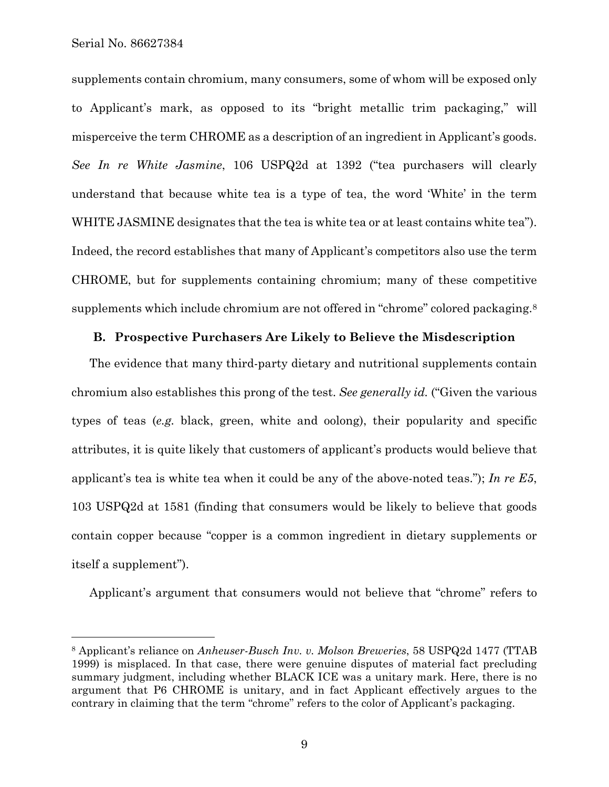Serial No. 86627384

 $\overline{a}$ 

supplements contain chromium, many consumers, some of whom will be exposed only to Applicant's mark, as opposed to its "bright metallic trim packaging," will misperceive the term CHROME as a description of an ingredient in Applicant's goods. *See In re White Jasmine*, 106 USPQ2d at 1392 ("tea purchasers will clearly understand that because white tea is a type of tea, the word 'White' in the term WHITE JASMINE designates that the tea is white tea or at least contains white tea"). Indeed, the record establishes that many of Applicant's competitors also use the term CHROME, but for supplements containing chromium; many of these competitive supplements which include chromium are not offered in "chrome" colored packaging.<sup>8</sup>

#### **B. Prospective Purchasers Are Likely to Believe the Misdescription**

The evidence that many third-party dietary and nutritional supplements contain chromium also establishes this prong of the test. *See generally id.* ("Given the various types of teas (*e.g.* black, green, white and oolong), their popularity and specific attributes, it is quite likely that customers of applicant's products would believe that applicant's tea is white tea when it could be any of the above-noted teas."); *In re E5*, 103 USPQ2d at 1581 (finding that consumers would be likely to believe that goods contain copper because "copper is a common ingredient in dietary supplements or itself a supplement").

Applicant's argument that consumers would not believe that "chrome" refers to

<sup>8</sup> Applicant's reliance on *Anheuser-Busch Inv. v. Molson Breweries*, 58 USPQ2d 1477 (TTAB 1999) is misplaced. In that case, there were genuine disputes of material fact precluding summary judgment, including whether BLACK ICE was a unitary mark. Here, there is no argument that P6 CHROME is unitary, and in fact Applicant effectively argues to the contrary in claiming that the term "chrome" refers to the color of Applicant's packaging.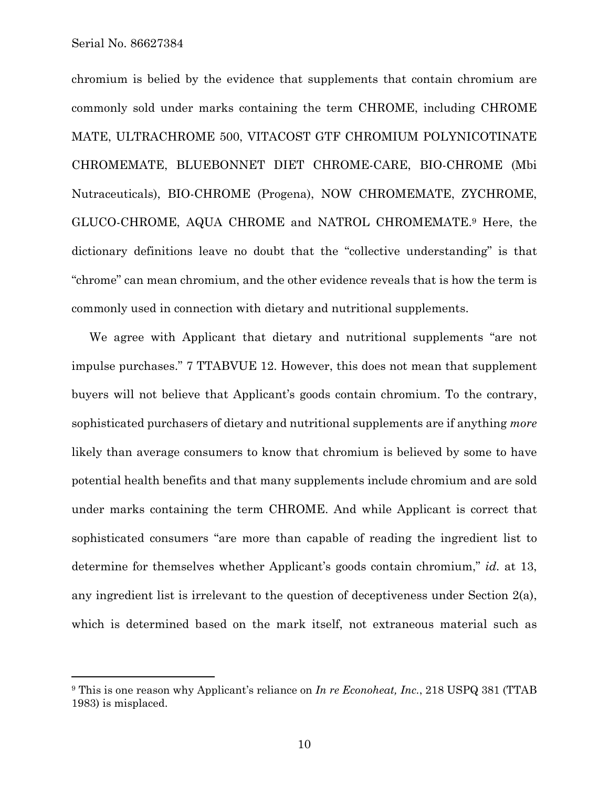1

chromium is belied by the evidence that supplements that contain chromium are commonly sold under marks containing the term CHROME, including CHROME MATE, ULTRACHROME 500, VITACOST GTF CHROMIUM POLYNICOTINATE CHROMEMATE, BLUEBONNET DIET CHROME-CARE, BIO-CHROME (Mbi Nutraceuticals), BIO-CHROME (Progena), NOW CHROMEMATE, ZYCHROME, GLUCO-CHROME, AQUA CHROME and NATROL CHROMEMATE.9 Here, the dictionary definitions leave no doubt that the "collective understanding" is that "chrome" can mean chromium, and the other evidence reveals that is how the term is commonly used in connection with dietary and nutritional supplements.

We agree with Applicant that dietary and nutritional supplements "are not impulse purchases." 7 TTABVUE 12. However, this does not mean that supplement buyers will not believe that Applicant's goods contain chromium. To the contrary, sophisticated purchasers of dietary and nutritional supplements are if anything *more* likely than average consumers to know that chromium is believed by some to have potential health benefits and that many supplements include chromium and are sold under marks containing the term CHROME. And while Applicant is correct that sophisticated consumers "are more than capable of reading the ingredient list to determine for themselves whether Applicant's goods contain chromium," *id.* at 13, any ingredient list is irrelevant to the question of deceptiveness under Section 2(a), which is determined based on the mark itself, not extraneous material such as

<sup>9</sup> This is one reason why Applicant's reliance on *In re Econoheat, Inc.*, 218 USPQ 381 (TTAB 1983) is misplaced.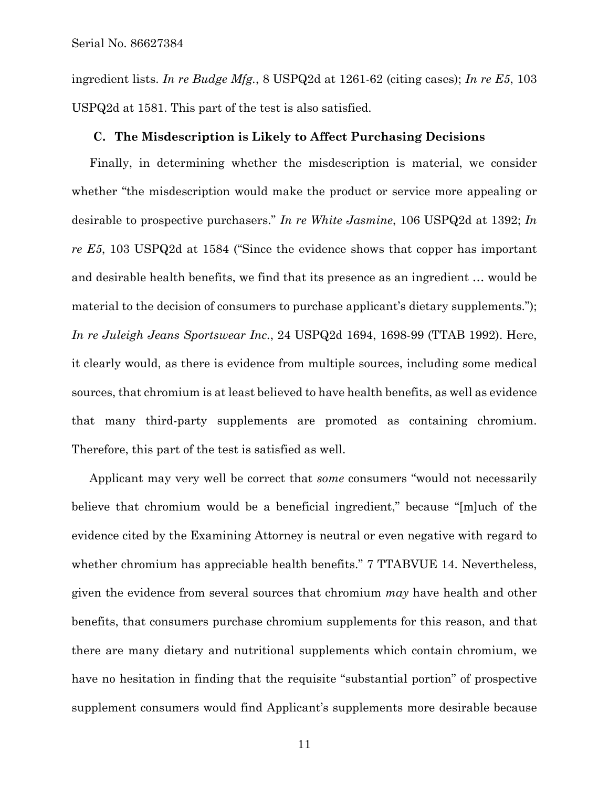ingredient lists. *In re Budge Mfg.*, 8 USPQ2d at 1261-62 (citing cases); *In re E5*, 103 USPQ2d at 1581. This part of the test is also satisfied.

#### **C. The Misdescription is Likely to Affect Purchasing Decisions**

Finally, in determining whether the misdescription is material, we consider whether "the misdescription would make the product or service more appealing or desirable to prospective purchasers." *In re White Jasmine*, 106 USPQ2d at 1392; *In re E5*, 103 USPQ2d at 1584 ("Since the evidence shows that copper has important and desirable health benefits, we find that its presence as an ingredient … would be material to the decision of consumers to purchase applicant's dietary supplements."); *In re Juleigh Jeans Sportswear Inc.*, 24 USPQ2d 1694, 1698-99 (TTAB 1992). Here, it clearly would, as there is evidence from multiple sources, including some medical sources, that chromium is at least believed to have health benefits, as well as evidence that many third-party supplements are promoted as containing chromium. Therefore, this part of the test is satisfied as well.

Applicant may very well be correct that *some* consumers "would not necessarily believe that chromium would be a beneficial ingredient," because "[m]uch of the evidence cited by the Examining Attorney is neutral or even negative with regard to whether chromium has appreciable health benefits." 7 TTABVUE 14. Nevertheless, given the evidence from several sources that chromium *may* have health and other benefits, that consumers purchase chromium supplements for this reason, and that there are many dietary and nutritional supplements which contain chromium, we have no hesitation in finding that the requisite "substantial portion" of prospective supplement consumers would find Applicant's supplements more desirable because